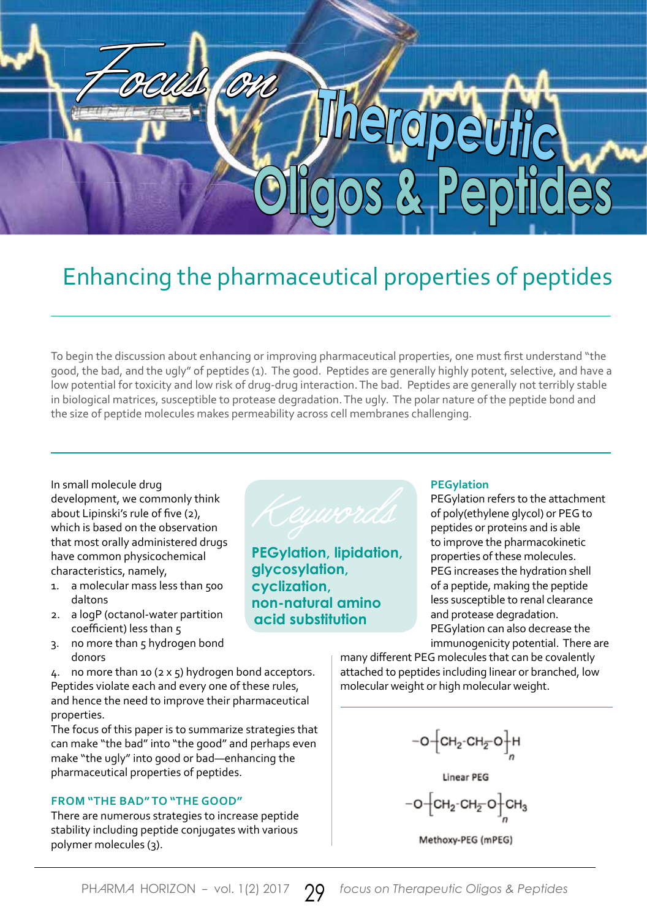# Focus on **Therapeutic Oligos & Peptides**

# Enhancing the pharmaceutical properties of peptides

To begin the discussion about enhancing or improving pharmaceutical properties, one must first understand "the good, the bad, and the ugly" of peptides (1). The good. Peptides are generally highly potent, selective, and have a low potential for toxicity and low risk of drug-drug interaction. The bad. Peptides are generally not terribly stable in biological matrices, susceptible to protease degradation. The ugly. The polar nature of the peptide bond and the size of peptide molecules makes permeability across cell membranes challenging.

In small molecule drug development, we commonly think about Lipinski's rule of five (2), which is based on the observation that most orally administered drugs have common physicochemical characteristics, namely,

- 1. a molecular mass less than 500 daltons
- 2. a logP (octanol-water partition coefficient) less than 5
- 3. no more than 5 hydrogen bond donors

4. no more than 10 (2 x 5) hydrogen bond acceptors. Peptides violate each and every one of these rules, and hence the need to improve their pharmaceutical properties.

The focus of this paper is to summarize strategies that can make "the bad" into "the good" and perhaps even make "the ugly" into good or bad—enhancing the pharmaceutical properties of peptides.

## **FROM "THE BAD" TO "THE GOOD"**

There are numerous strategies to increase peptide stability including peptide conjugates with various polymer molecules (3).



**PEGylation, lipidation, glycosylation, cyclization, non-natural amino acid substitution**

# **PEGylation**

PEGylation refers to the attachment of poly(ethylene glycol) or PEG to peptides or proteins and is able to improve the pharmacokinetic properties of these molecules. PEG increases the hydration shell of a peptide, making the peptide less susceptible to renal clearance and protease degradation. PEGylation can also decrease the immunogenicity potential. There are

many different PEG molecules that can be covalently attached to peptides including linear or branched, low molecular weight or high molecular weight.

 $-o$  $\left[\text{CH}_2\text{-CH}_{\overline{2}}\text{O}\right]$ H

Linear PEG  $-o - [CH_2 \cdot CH_2 \cdot O]$   $CH_3$ 

Methoxy-PEG (mPEG)

PHARMA HORIZON - vol. 1(2) 2017 **99** focus on Therapeutic Oligos & Peptides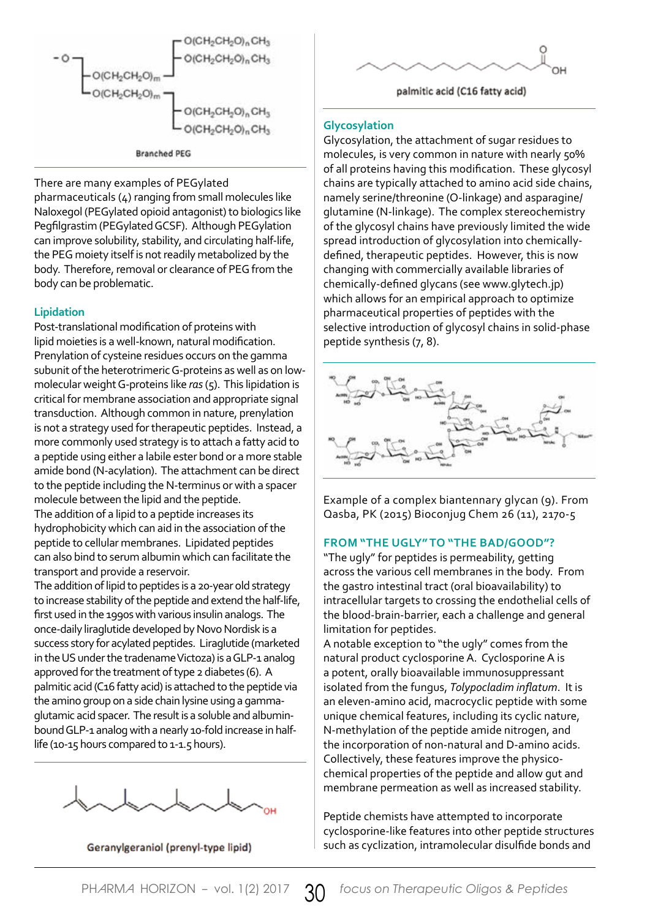

There are many examples of PEGylated

pharmaceuticals (4) ranging from small molecules like Naloxegol (PEGylated opioid antagonist) to biologics like Pegfilgrastim (PEGylated GCSF). Although PEGylation can improve solubility, stability, and circulating half-life, the PEG moiety itself is not readily metabolized by the body. Therefore, removal or clearance of PEG from the body can be problematic.

### **Lipidation**

Post-translational modification of proteins with lipid moieties is a well-known, natural modification. Prenylation of cysteine residues occurs on the gamma subunit of the heterotrimeric G-proteins as well as on lowmolecular weight G-proteins like *ras* (5). This lipidation is critical for membrane association and appropriate signal transduction. Although common in nature, prenylation is not a strategy used for therapeutic peptides. Instead, a more commonly used strategy is to attach a fatty acid to a peptide using either a labile ester bond or a more stable amide bond (N-acylation). The attachment can be direct to the peptide including the N-terminus or with a spacer molecule between the lipid and the peptide.

The addition of a lipid to a peptide increases its hydrophobicity which can aid in the association of the peptide to cellular membranes. Lipidated peptides can also bind to serum albumin which can facilitate the transport and provide a reservoir.

The addition of lipid to peptides is a 20-year old strategy to increase stability of the peptide and extend the half-life, first used in the 1990s with various insulin analogs. The once-daily liraglutide developed by Novo Nordisk is a success story for acylated peptides. Liraglutide (marketed in the US under the tradename Victoza) is a GLP-1 analog approved for the treatment of type 2 diabetes (6). A palmitic acid (C16 fatty acid) is attached to the peptide via the amino group on a side chain lysine using a gammaglutamic acid spacer. The result is a soluble and albuminbound GLP-1 analog with a nearly 10-fold increase in halflife (10-15 hours compared to 1-1.5 hours).



Geranylgeraniol (prenyl-type lipid)



palmitic acid (C16 fatty acid)

### **Glycosylation**

Glycosylation, the attachment of sugar residues to molecules, is very common in nature with nearly 50% of all proteins having this modification. These glycosyl chains are typically attached to amino acid side chains, namely serine/threonine (O-linkage) and asparagine/ glutamine (N-linkage). The complex stereochemistry of the glycosyl chains have previously limited the wide spread introduction of glycosylation into chemicallydefined, therapeutic peptides. However, this is now changing with commercially available libraries of chemically-defined glycans (see www.glytech.jp) which allows for an empirical approach to optimize pharmaceutical properties of peptides with the selective introduction of glycosyl chains in solid-phase peptide synthesis (7, 8).



Example of a complex biantennary glycan (9). From Qasba, PK (2015) Bioconjug Chem 26 (11), 2170-5

### **FROM "THE UGLY" TO "THE BAD/GOOD"?**

"The ugly" for peptides is permeability, getting across the various cell membranes in the body. From the gastro intestinal tract (oral bioavailability) to intracellular targets to crossing the endothelial cells of the blood-brain-barrier, each a challenge and general limitation for peptides.

A notable exception to "the ugly" comes from the natural product cyclosporine A. Cyclosporine A is a potent, orally bioavailable immunosuppressant isolated from the fungus, *Tolypocladim inflatum*. It is an eleven-amino acid, macrocyclic peptide with some unique chemical features, including its cyclic nature, N-methylation of the peptide amide nitrogen, and the incorporation of non-natural and D-amino acids. Collectively, these features improve the physicochemical properties of the peptide and allow gut and membrane permeation as well as increased stability.

Peptide chemists have attempted to incorporate cyclosporine-like features into other peptide structures such as cyclization, intramolecular disulfide bonds and